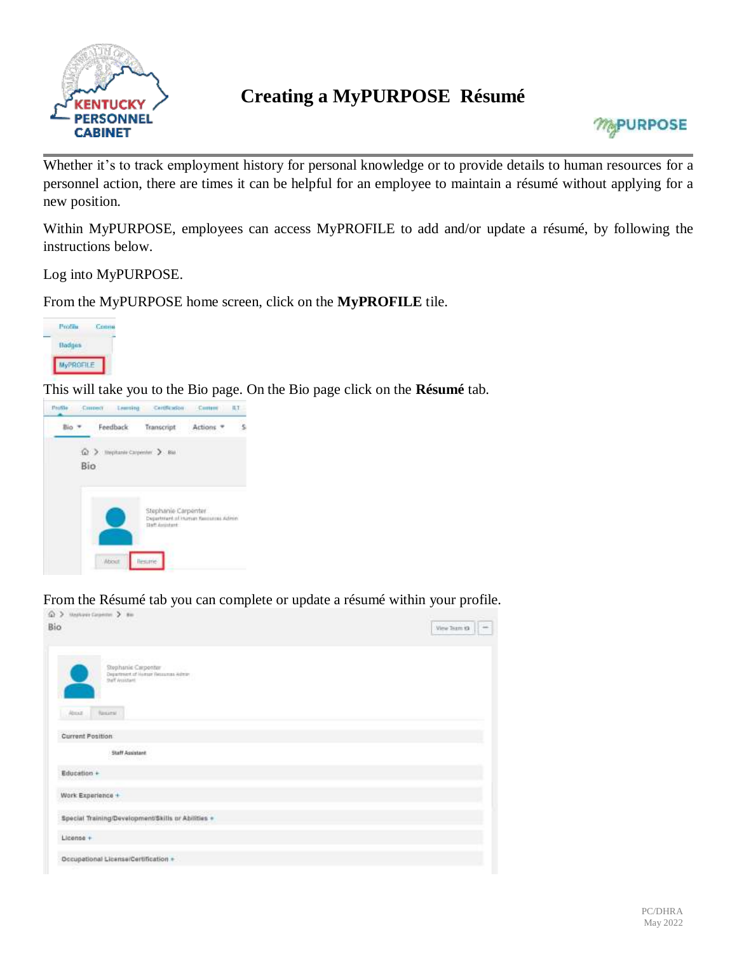

## **Creating a MyPURPOSE Résumé**



Whether it's to track employment history for personal knowledge or to provide details to human resources for a personnel action, there are times it can be helpful for an employee to maintain a résumé without applying for a new position.

Within MyPURPOSE, employees can access MyPROFILE to add and/or update a résumé, by following the instructions below.

Log into MyPURPOSE.

From the MyPURPOSE home screen, click on the **MyPROFILE** tile.



This will take you to the Bio page. On the Bio page click on the **Résumé** tab.



From the Résumé tab you can complete or update a résumé within your profile.